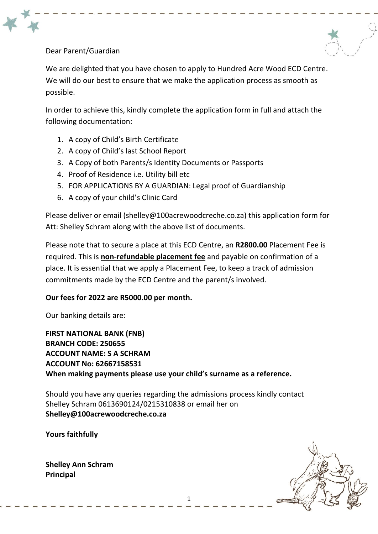



We are delighted that you have chosen to apply to Hundred Acre Wood ECD Centre. We will do our best to ensure that we make the application process as smooth as possible.

In order to achieve this, kindly complete the application form in full and attach the following documentation:

- 1. A copy of Child's Birth Certificate
- 2. A copy of Child's last School Report
- 3. A Copy of both Parents/s Identity Documents or Passports
- 4. Proof of Residence i.e. Utility bill etc
- 5. FOR APPLICATIONS BY A GUARDIAN: Legal proof of Guardianship
- 6. A copy of your child's Clinic Card

Please deliver or email [\(shelley@100acrewoodcreche.co.za\)](mailto:shelley@100acrewoodcreche.co.za) this application form for Att: Shelley Schram along with the above list of documents.

Please note that to secure a place at this ECD Centre, an **R2800.00** Placement Fee is required. This is **non-refundable placement fee** and payable on confirmation of a place. It is essential that we apply a Placement Fee, to keep a track of admission commitments made by the ECD Centre and the parent/s involved.

### **Our fees for 2022 are R5000.00 per month.**

Our banking details are:

**FIRST NATIONAL BANK (FNB) BRANCH CODE: 250655 ACCOUNT NAME: S A SCHRAM ACCOUNT No: 62667158531 When making payments please use your child's surname as a reference.**

Should you have any queries regarding the admissions process kindly contact Shelley Schram 0613690124/0215310838 or email her on **[Shelley@100acrewoodcreche.co.za](mailto:Shelley@100acrewoodcreche.co.za)**

**Yours faithfully**

**Shelley Ann Schram Principal**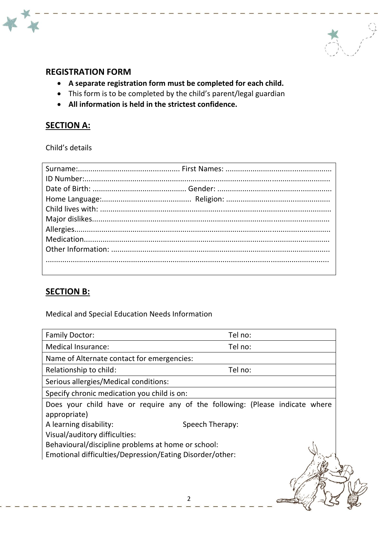

## **REGISTRATION FORM**

- **A separate registration form must be completed for each child.**
- This form is to be completed by the child's parent/legal guardian
- **All information is held in the strictest confidence.**

### **SECTION A:**

Child's details

## **SECTION B:**

Medical and Special Education Needs Information

| <b>Family Doctor:</b>                                                                        | Tel no:         |  |  |
|----------------------------------------------------------------------------------------------|-----------------|--|--|
| <b>Medical Insurance:</b>                                                                    | Tel no:         |  |  |
| Name of Alternate contact for emergencies:                                                   |                 |  |  |
| Relationship to child:                                                                       | Tel no:         |  |  |
| Serious allergies/Medical conditions:                                                        |                 |  |  |
| Specify chronic medication you child is on:                                                  |                 |  |  |
| Does your child have or require any of the following: (Please indicate where<br>appropriate) |                 |  |  |
| A learning disability:<br>Visual/auditory difficulties:                                      | Speech Therapy: |  |  |
| Behavioural/discipline problems at home or school:                                           |                 |  |  |
| Emotional difficulties/Depression/Eating Disorder/other:                                     |                 |  |  |
|                                                                                              |                 |  |  |
|                                                                                              |                 |  |  |
|                                                                                              |                 |  |  |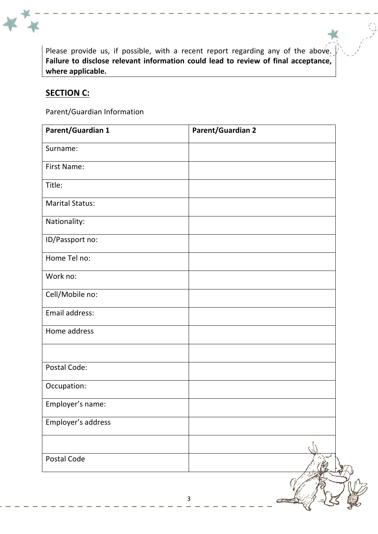Please provide us, if possible, with a recent report regarding any of the above. **Failure to disclose relevant information could lead to review of final acceptance, where applicable.**

### **SECTION C:**

Parent/Guardian Information

| Parent/Guardian 1      | <b>Parent/Guardian 2</b> |
|------------------------|--------------------------|
| Surname:               |                          |
| First Name:            |                          |
| Title:                 |                          |
| <b>Marital Status:</b> |                          |
| Nationality:           |                          |
| ID/Passport no:        |                          |
| Home Tel no:           |                          |
| Work no:               |                          |
| Cell/Mobile no:        |                          |
| Email address:         |                          |
| Home address           |                          |
|                        |                          |
| Postal Code:           |                          |
| Occupation:            |                          |
| Employer's name:       |                          |
| Employer's address     |                          |
|                        |                          |
| Postal Code            |                          |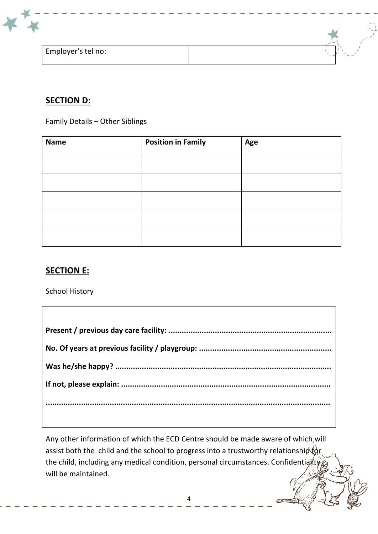

# **SECTION D:**

Family Details – Other Siblings

| <b>Name</b> | <b>Position in Family</b> | Age |
|-------------|---------------------------|-----|
|             |                           |     |
|             |                           |     |
|             |                           |     |
|             |                           |     |
|             |                           |     |

## **SECTION E:**

School History

Any other information of which the ECD Centre should be made aware of which, will assist both the child and the school to progress into a trustworthy relationship  $\phi$ the child, including any medical condition, personal circumstances. Confidentiality will be maintained.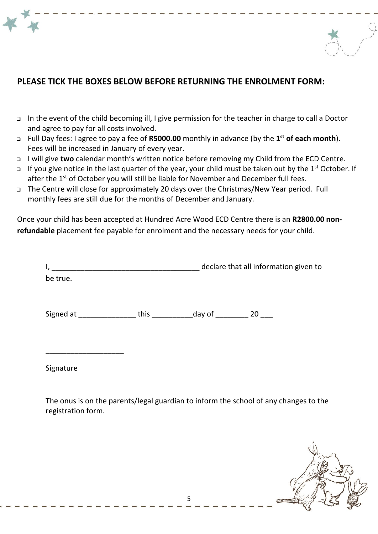



- ❑ In the event of the child becoming ill, I give permission for the teacher in charge to call a Doctor and agree to pay for all costs involved.
- ❑ Full Day fees: I agree to pay a fee of **R5000.00** monthly in advance (by the **1 st of each month**). Fees will be increased in January of every year.
- ❑ I will give **two** calendar month's written notice before removing my Child from the ECD Centre.
- □ If you give notice in the last quarter of the year, your child must be taken out by the 1<sup>st</sup> October. If after the 1<sup>st</sup> of October you will still be liable for November and December full fees.
- ❑ The Centre will close for approximately 20 days over the Christmas/New Year period. Full monthly fees are still due for the months of December and January.

Once your child has been accepted at Hundred Acre Wood ECD Centre there is an **R2800.00 nonrefundable** placement fee payable for enrolment and the necessary needs for your child.

| I,        |      |                            | declare that all information given to |
|-----------|------|----------------------------|---------------------------------------|
| be true.  |      |                            |                                       |
| Signed at | this | _day of __________ 20 ____ |                                       |
| Signature |      |                            |                                       |

The onus is on the parents/legal guardian to inform the school of any changes to the registration form.

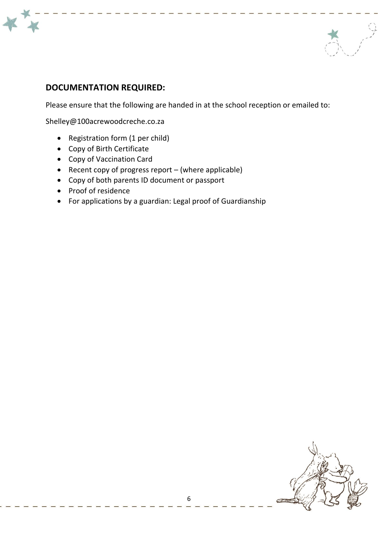



# **DOCUMENTATION REQUIRED:**

Please ensure that the following are handed in at the school reception or emailed to:

[Shelley@100acrewoodcreche.co.za](mailto:Shelley@100acrewoodcreche.co.za)

- Registration form (1 per child)
- Copy of Birth Certificate
- Copy of Vaccination Card
- Recent copy of progress report (where applicable)
- Copy of both parents ID document or passport
- Proof of residence
- For applications by a guardian: Legal proof of Guardianship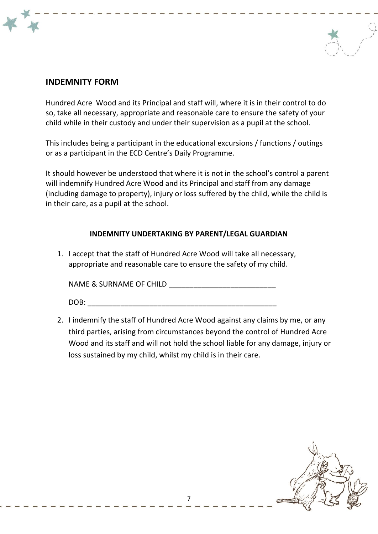## **INDEMNITY FORM**

Hundred Acre Wood and its Principal and staff will, where it is in their control to do so, take all necessary, appropriate and reasonable care to ensure the safety of your child while in their custody and under their supervision as a pupil at the school.

This includes being a participant in the educational excursions / functions / outings or as a participant in the ECD Centre's Daily Programme.

It should however be understood that where it is not in the school's control a parent will indemnify Hundred Acre Wood and its Principal and staff from any damage (including damage to property), injury or loss suffered by the child, while the child is in their care, as a pupil at the school.

### **INDEMNITY UNDERTAKING BY PARENT/LEGAL GUARDIAN**

1. I accept that the staff of Hundred Acre Wood will take all necessary, appropriate and reasonable care to ensure the safety of my child.

NAME & SURNAME OF CHILD \_\_\_\_\_\_\_\_\_\_\_\_\_\_\_\_\_\_\_\_\_\_\_\_\_\_

DOB: \_\_\_\_\_\_\_\_\_\_\_\_\_\_\_\_\_\_\_\_\_\_\_\_\_\_\_\_\_\_\_\_\_\_\_\_\_\_\_\_\_\_\_\_\_\_

2. I indemnify the staff of Hundred Acre Wood against any claims by me, or any third parties, arising from circumstances beyond the control of Hundred Acre Wood and its staff and will not hold the school liable for any damage, injury or loss sustained by my child, whilst my child is in their care.